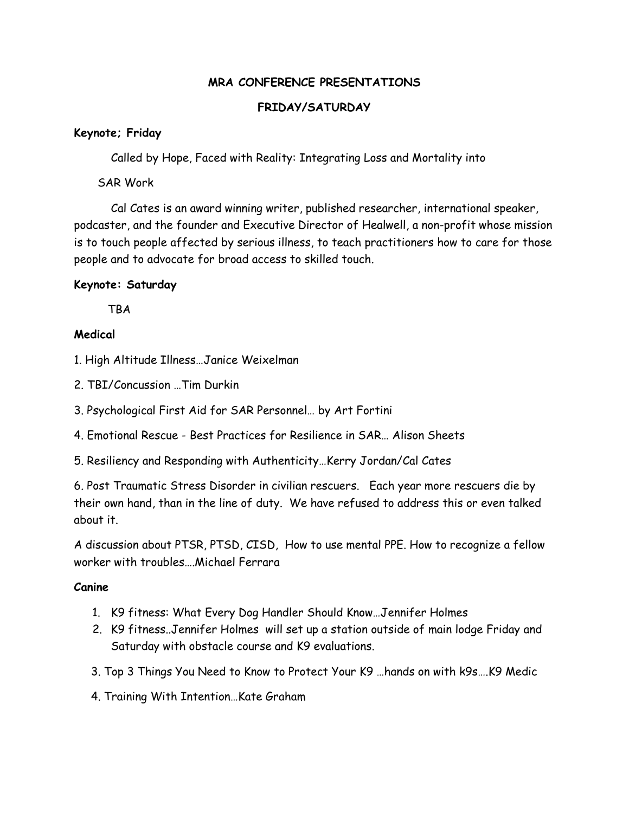## **MRA CONFERENCE PRESENTATIONS**

### **FRIDAY/SATURDAY**

#### **Keynote; Friday**

Called by Hope, Faced with Reality: Integrating Loss and Mortality into

SAR Work

Cal Cates is an award winning writer, published researcher, international speaker, podcaster, and the founder and Executive Director of Healwell, a non-profit whose mission is to touch people affected by serious illness, to teach practitioners how to care for those people and to advocate for broad access to skilled touch.

# **Keynote: Saturday**

**TBA** 

# **Medical**

1. High Altitude Illness…Janice Weixelman

2. TBI/Concussion …Tim Durkin

3. Psychological First Aid for SAR Personnel… by Art Fortini

4. Emotional Rescue - Best Practices for Resilience in SAR… Alison Sheets

5. Resiliency and Responding with Authenticity…Kerry Jordan/Cal Cates

6. Post Traumatic Stress Disorder in civilian rescuers. Each year more rescuers die by their own hand, than in the line of duty. We have refused to address this or even talked about it.

A discussion about PTSR, PTSD, CISD, How to use mental PPE. How to recognize a fellow worker with troubles….Michael Ferrara

#### **Canine**

- 1. K9 fitness: What Every Dog Handler Should Know…Jennifer Holmes
- 2. K9 fitness..Jennifer Holmes will set up a station outside of main lodge Friday and Saturday with obstacle course and K9 evaluations.
- 3. Top 3 Things You Need to Know to Protect Your K9 …hands on with k9s….K9 Medic
- 4. Training With Intention…Kate Graham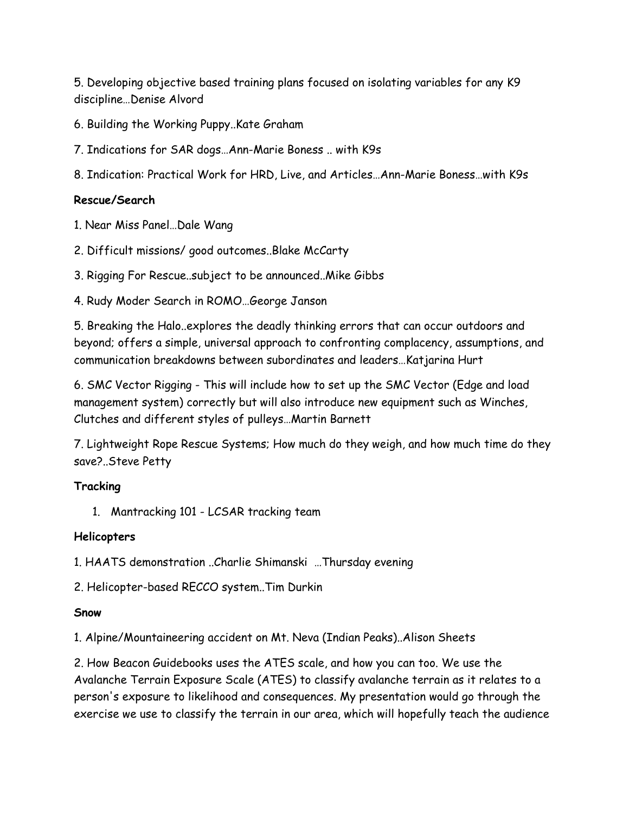5. Developing objective based training plans focused on isolating variables for any K9 discipline…Denise Alvord

- 6. Building the Working Puppy..Kate Graham
- 7. Indications for SAR dogs…Ann-Marie Boness .. with K9s
- 8. Indication: Practical Work for HRD, Live, and Articles…Ann-Marie Boness…with K9s

# **Rescue/Search**

1. Near Miss Panel…Dale Wang

- 2. Difficult missions/ good outcomes..Blake McCarty
- 3. Rigging For Rescue..subject to be announced..Mike Gibbs
- 4. Rudy Moder Search in ROMO…George Janson

5. Breaking the Halo..explores the deadly thinking errors that can occur outdoors and beyond; offers a simple, universal approach to confronting complacency, assumptions, and communication breakdowns between subordinates and leaders…Katjarina Hurt

6. SMC Vector Rigging - This will include how to set up the SMC Vector (Edge and load management system) correctly but will also introduce new equipment such as Winches, Clutches and different styles of pulleys…Martin Barnett

7. Lightweight Rope Rescue Systems; How much do they weigh, and how much time do they save?..Steve Petty

# **Tracking**

1. Mantracking 101 - LCSAR tracking team

# **Helicopters**

1. HAATS demonstration ..Charlie Shimanski …Thursday evening

2. Helicopter-based RECCO system..Tim Durkin

#### **Snow**

1. Alpine/Mountaineering accident on Mt. Neva (Indian Peaks)..Alison Sheets

2. How Beacon Guidebooks uses the ATES scale, and how you can too. We use the Avalanche Terrain Exposure Scale (ATES) to classify avalanche terrain as it relates to a person's exposure to likelihood and consequences. My presentation would go through the exercise we use to classify the terrain in our area, which will hopefully teach the audience